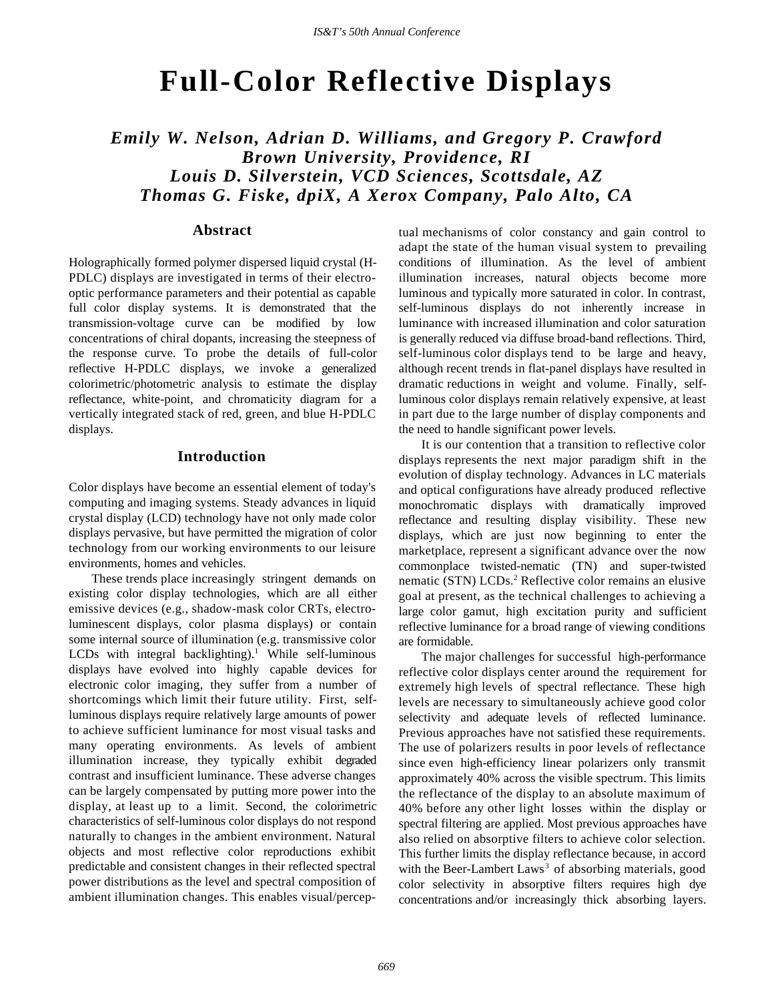# **Full-Color Reflective Displays**

*Emily W. Nelson, Adrian D. Williams, and Gregory P. Crawford Brown University, Providence, RI Louis D. Silverstein, VCD Sciences, Scottsdale, AZ Thomas G. Fiske, dpiX, A Xerox Company, Palo Alto, CA*

## **Abstract**

Holographically formed polymer dispersed liquid crystal (H-PDLC) displays are investigated in terms of their electrooptic performance parameters and their potential as capable full color display systems. It is demonstrated that the transmission-voltage curve can be modified by low concentrations of chiral dopants, increasing the steepness of the response curve. To probe the details of full-color reflective H-PDLC displays, we invoke a generalized colorimetric/photometric analysis to estimate the display reflectance, white-point, and chromaticity diagram for a vertically integrated stack of red, green, and blue H-PDLC displays.

#### **Introduction**

Color displays have become an essential element of today's computing and imaging systems. Steady advances in liquid crystal display (LCD) technology have not only made color displays pervasive, but have permitted the migration of color technology from our working environments to our leisure environments, homes and vehicles.

These trends place increasingly stringent demands on existing color display technologies, which are all either emissive devices (e.g., shadow-mask color CRTs, electroluminescent displays, color plasma displays) or contain some internal source of illumination (e.g. transmissive color LCDs with integral backlighting).<sup>1</sup> While self-luminous displays have evolved into highly capable devices for electronic color imaging, they suffer from a number of shortcomings which limit their future utility. First, selfluminous displays require relatively large amounts of power to achieve sufficient luminance for most visual tasks and many operating environments. As levels of ambient illumination increase, they typically exhibit degraded contrast and insufficient luminance. These adverse changes can be largely compensated by putting more power into the display, at least up to a limit. Second, the colorimetric characteristics of self-luminous color displays do not respond naturally to changes in the ambient environment. Natural objects and most reflective color reproductions exhibit predictable and consistent changes in their reflected spectral power distributions as the level and spectral composition of ambient illumination changes. This enables visual/perceptual mechanisms of color constancy and gain control to adapt the state of the human visual system to prevailing conditions of illumination. As the level of ambient illumination increases, natural objects become more luminous and typically more saturated in color. In contrast, self-luminous displays do not inherently increase in luminance with increased illumination and color saturation is generally reduced via diffuse broad-band reflections. Third, self-luminous color displays tend to be large and heavy, although recent trends in flat-panel displays have resulted in dramatic reductions in weight and volume. Finally, selfluminous color displays remain relatively expensive, at least in part due to the large number of display components and the need to handle significant power levels.

It is our contention that a transition to reflective color displays represents the next major paradigm shift in the evolution of display technology. Advances in LC materials and optical configurations have already produced reflective monochromatic displays with dramatically improved reflectance and resulting display visibility. These new displays, which are just now beginning to enter the marketplace, represent a significant advance over the now commonplace twisted-nematic (TN) and super-twisted nematic (STN) LCDs.<sup>2</sup> Reflective color remains an elusive goal at present, as the technical challenges to achieving a large color gamut, high excitation purity and sufficient reflective luminance for a broad range of viewing conditions are formidable.

The major challenges for successful high-performance reflective color displays center around the requirement for extremely high levels of spectral reflectance. These high levels are necessary to simultaneously achieve good color selectivity and adequate levels of reflected luminance. Previous approaches have not satisfied these requirements. The use of polarizers results in poor levels of reflectance since even high-efficiency linear polarizers only transmit approximately 40% across the visible spectrum. This limits the reflectance of the display to an absolute maximum of 40% before any other light losses within the display or spectral filtering are applied. Most previous approaches have also relied on absorptive filters to achieve color selection. This further limits the display reflectance because, in accord with the Beer-Lambert Laws<sup>3</sup> of absorbing materials, good color selectivity in absorptive filters requires high dye concentrations and/or increasingly thick absorbing layers.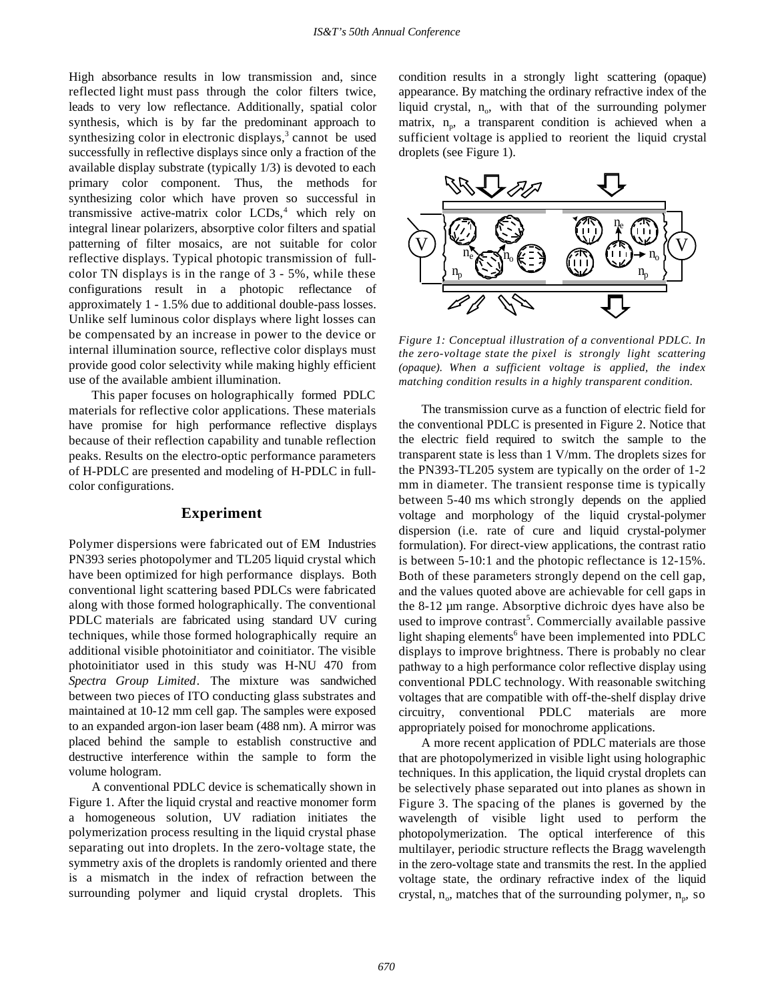High absorbance results in low transmission and, since reflected light must pass through the color filters twice, leads to very low reflectance. Additionally, spatial color synthesis, which is by far the predominant approach to synthesizing color in electronic displays, $3$  cannot be used successfully in reflective displays since only a fraction of the available display substrate (typically 1/3) is devoted to each primary color component. Thus, the methods for synthesizing color which have proven so successful in transmissive active-matrix color  $LCDs<sub>1</sub><sup>4</sup>$  which rely on integral linear polarizers, absorptive color filters and spatial patterning of filter mosaics, are not suitable for color reflective displays. Typical photopic transmission of fullcolor TN displays is in the range of 3 - 5%, while these configurations result in a photopic reflectance of approximately 1 - 1.5% due to additional double-pass losses. Unlike self luminous color displays where light losses can be compensated by an increase in power to the device or internal illumination source, reflective color displays must provide good color selectivity while making highly efficient use of the available ambient illumination.

This paper focuses on holographically formed PDLC materials for reflective color applications. These materials have promise for high performance reflective displays because of their reflection capability and tunable reflection peaks. Results on the electro-optic performance parameters of H-PDLC are presented and modeling of H-PDLC in fullcolor configurations.

### **Experiment**

Polymer dispersions were fabricated out of EM Industries PN393 series photopolymer and TL205 liquid crystal which have been optimized for high performance displays. Both conventional light scattering based PDLCs were fabricated along with those formed holographically. The conventional PDLC materials are fabricated using standard UV curing techniques, while those formed holographically require an additional visible photoinitiator and coinitiator. The visible photoinitiator used in this study was H-NU 470 from *Spectra Group Limited*. The mixture was sandwiched between two pieces of ITO conducting glass substrates and maintained at 10-12 mm cell gap. The samples were exposed to an expanded argon-ion laser beam (488 nm). A mirror was placed behind the sample to establish constructive and destructive interference within the sample to form the volume hologram.

A conventional PDLC device is schematically shown in Figure 1. After the liquid crystal and reactive monomer form a homogeneous solution, UV radiation initiates the polymerization process resulting in the liquid crystal phase separating out into droplets. In the zero-voltage state, the symmetry axis of the droplets is randomly oriented and there is a mismatch in the index of refraction between the surrounding polymer and liquid crystal droplets. This

condition results in a strongly light scattering (opaque) appearance. By matching the ordinary refractive index of the liquid crystal, n<sub>o</sub>, with that of the surrounding polymer matrix,  $n_p$ , a transparent condition is achieved when a sufficient voltage is applied to reorient the liquid crystal droplets (see Figure 1).



*Figure 1: Conceptual illustration of a conventional PDLC. In the zero-voltage state the pixel is strongly light scattering (opaque). When a sufficient voltage is applied, the index matching condition results in a highly transparent condition.*

The transmission curve as a function of electric field for the conventional PDLC is presented in Figure 2. Notice that the electric field required to switch the sample to the transparent state is less than 1 V/mm. The droplets sizes for the PN393-TL205 system are typically on the order of 1-2 mm in diameter. The transient response time is typically between 5-40 ms which strongly depends on the applied voltage and morphology of the liquid crystal-polymer dispersion (i.e. rate of cure and liquid crystal-polymer formulation). For direct-view applications, the contrast ratio is between 5-10:1 and the photopic reflectance is 12-15%. Both of these parameters strongly depend on the cell gap, and the values quoted above are achievable for cell gaps in the 8-12 µm range. Absorptive dichroic dyes have also be used to improve contrast<sup>5</sup>. Commercially available passive light shaping elements<sup>6</sup> have been implemented into PDLC displays to improve brightness. There is probably no clear pathway to a high performance color reflective display using conventional PDLC technology. With reasonable switching voltages that are compatible with off-the-shelf display drive circuitry, conventional PDLC materials are more appropriately poised for monochrome applications.

A more recent application of PDLC materials are those that are photopolymerized in visible light using holographic techniques. In this application, the liquid crystal droplets can be selectively phase separated out into planes as shown in Figure 3. The spacing of the planes is governed by the wavelength of visible light used to perform the photopolymerization. The optical interference of this multilayer, periodic structure reflects the Bragg wavelength in the zero-voltage state and transmits the rest. In the applied voltage state, the ordinary refractive index of the liquid crystal,  $n_o$ , matches that of the surrounding polymer,  $n_p$ , so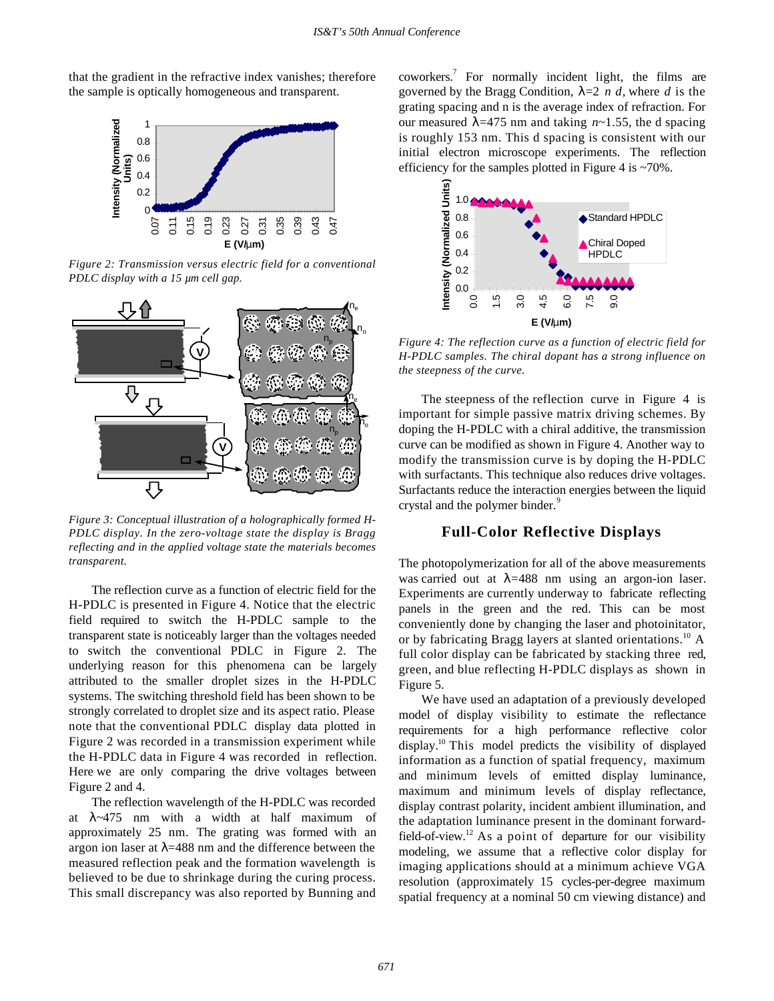that the gradient in the refractive index vanishes; therefore the sample is optically homogeneous and transparent.



*Figure 2: Transmission versus electric field for a conventional PDLC display with a 15 µm cell gap.*



*Figure 3: Conceptual illustration of a holographically formed H-PDLC display. In the zero-voltage state the display is Bragg reflecting and in the applied voltage state the materials becomes transparent.*

The reflection curve as a function of electric field for the H-PDLC is presented in Figure 4. Notice that the electric field required to switch the H-PDLC sample to the transparent state is noticeably larger than the voltages needed to switch the conventional PDLC in Figure 2. The underlying reason for this phenomena can be largely attributed to the smaller droplet sizes in the H-PDLC systems. The switching threshold field has been shown to be strongly correlated to droplet size and its aspect ratio. Please note that the conventional PDLC display data plotted in Figure 2 was recorded in a transmission experiment while the H-PDLC data in Figure 4 was recorded in reflection. Here we are only comparing the drive voltages between Figure 2 and 4.

The reflection wavelength of the H-PDLC was recorded at  $\lambda$ ~475 nm with a width at half maximum of approximately 25 nm. The grating was formed with an argon ion laser at  $\lambda$ =488 nm and the difference between the measured reflection peak and the formation wavelength is believed to be due to shrinkage during the curing process. This small discrepancy was also reported by Bunning and

coworkers.7 For normally incident light, the films are governed by the Bragg Condition,  $\lambda = 2$  *n d*, where *d* is the grating spacing and n is the average index of refraction. For our measured λ=475 nm and taking *n*~1.55, the d spacing is roughly 153 nm. This d spacing is consistent with our initial electron microscope experiments. The reflection efficiency for the samples plotted in Figure 4 is ~70%.



*Figure 4: The reflection curve as a function of electric field for H-PDLC samples. The chiral dopant has a strong influence on the steepness of the curve.*

The steepness of the reflection curve in Figure 4 is important for simple passive matrix driving schemes. By doping the H-PDLC with a chiral additive, the transmission curve can be modified as shown in Figure 4. Another way to modify the transmission curve is by doping the H-PDLC with surfactants. This technique also reduces drive voltages. Surfactants reduce the interaction energies between the liquid crystal and the polymer binder.<sup>9</sup>

### **Full-Color Reflective Displays**

The photopolymerization for all of the above measurements was carried out at  $\lambda$ =488 nm using an argon-ion laser. Experiments are currently underway to fabricate reflecting panels in the green and the red. This can be most conveniently done by changing the laser and photoinitator, or by fabricating Bragg layers at slanted orientations.10 A full color display can be fabricated by stacking three red, green, and blue reflecting H-PDLC displays as shown in Figure 5.

We have used an adaptation of a previously developed model of display visibility to estimate the reflectance requirements for a high performance reflective color display.10 This model predicts the visibility of displayed information as a function of spatial frequency, maximum and minimum levels of emitted display luminance, maximum and minimum levels of display reflectance, display contrast polarity, incident ambient illumination, and the adaptation luminance present in the dominant forwardfield-of-view.<sup>12</sup> As a point of departure for our visibility modeling, we assume that a reflective color display for imaging applications should at a minimum achieve VGA resolution (approximately 15 cycles-per-degree maximum spatial frequency at a nominal 50 cm viewing distance) and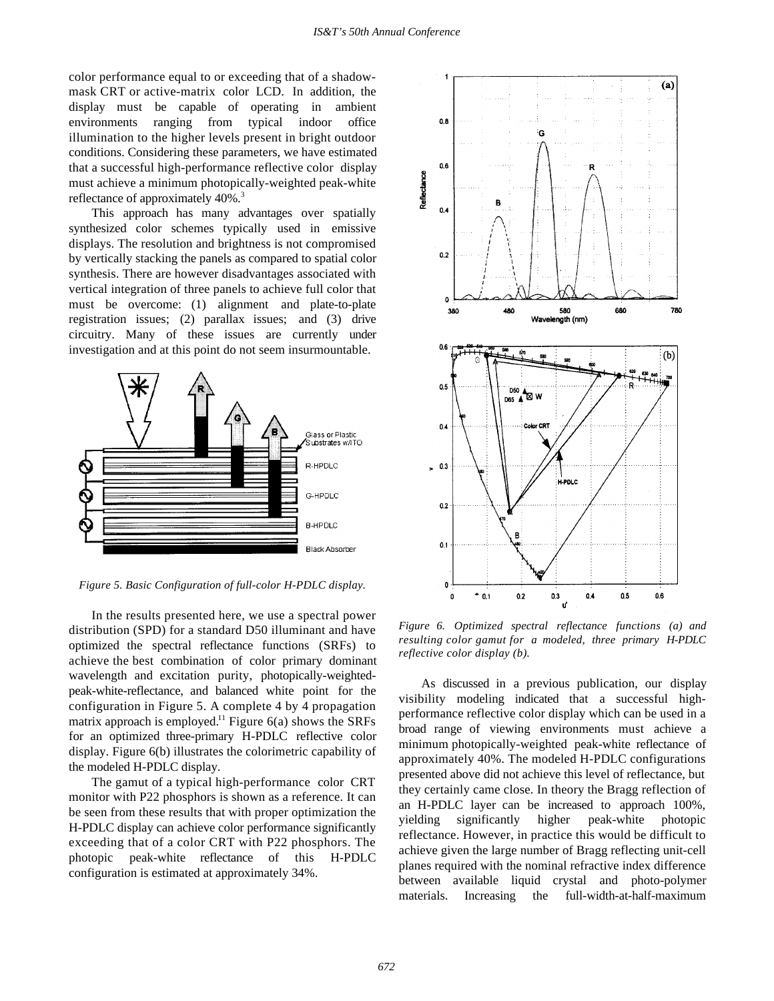color performance equal to or exceeding that of a shadowmask CRT or active-matrix color LCD. In addition, the display must be capable of operating in ambient environments ranging from typical indoor office illumination to the higher levels present in bright outdoor conditions. Considering these parameters, we have estimated that a successful high-performance reflective color display must achieve a minimum photopically-weighted peak-white reflectance of approximately 40%.<sup>3</sup>

This approach has many advantages over spatially synthesized color schemes typically used in emissive displays. The resolution and brightness is not compromised by vertically stacking the panels as compared to spatial color synthesis. There are however disadvantages associated with vertical integration of three panels to achieve full color that must be overcome: (1) alignment and plate-to-plate registration issues; (2) parallax issues; and (3) drive circuitry. Many of these issues are currently under investigation and at this point do not seem insurmountable.



*Figure 5. Basic Configuration of full-color H-PDLC display.*

In the results presented here, we use a spectral power distribution (SPD) for a standard D50 illuminant and have optimized the spectral reflectance functions (SRFs) to achieve the best combination of color primary dominant wavelength and excitation purity, photopically-weightedpeak-white-reflectance, and balanced white point for the configuration in Figure 5. A complete 4 by 4 propagation matrix approach is employed.<sup>11</sup> Figure  $6(a)$  shows the SRFs for an optimized three-primary H-PDLC reflective color display. Figure 6(b) illustrates the colorimetric capability of the modeled H-PDLC display.

The gamut of a typical high-performance color CRT monitor with P22 phosphors is shown as a reference. It can be seen from these results that with proper optimization the H-PDLC display can achieve color performance significantly exceeding that of a color CRT with P22 phosphors. The photopic peak-white reflectance of this H-PDLC configuration is estimated at approximately 34%.



*Figure 6. Optimized spectral reflectance functions (a) and resulting color gamut for a modeled, three primary H-PDLC reflective color display (b).*

As discussed in a previous publication, our display visibility modeling indicated that a successful highperformance reflective color display which can be used in a broad range of viewing environments must achieve a minimum photopically-weighted peak-white reflectance of approximately 40%. The modeled H-PDLC configurations presented above did not achieve this level of reflectance, but they certainly came close. In theory the Bragg reflection of an H-PDLC layer can be increased to approach 100%, yielding significantly higher peak-white photopic reflectance. However, in practice this would be difficult to achieve given the large number of Bragg reflecting unit-cell planes required with the nominal refractive index difference between available liquid crystal and photo-polymer materials. Increasing the full-width-at-half-maximum